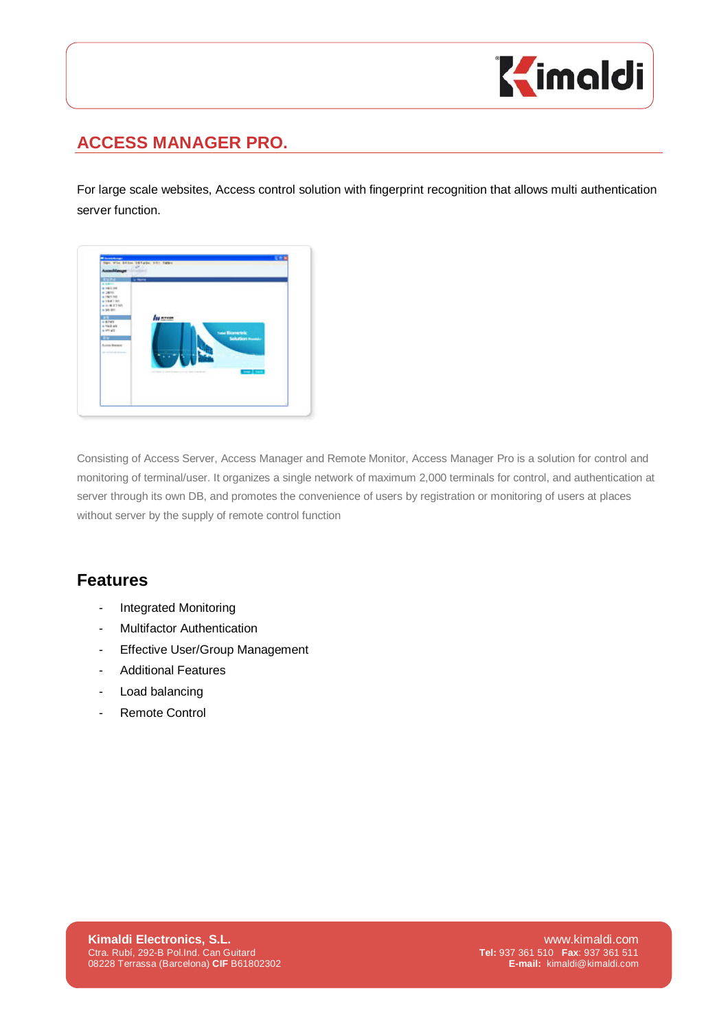

## **ACCESS MANAGER PRO.**

For large scale websites, Access control solution with fingerprint recognition that allows multi authentication server function.



Consisting of Access Server, Access Manager and Remote Monitor, Access Manager Pro is a solution for control and monitoring of terminal/user. It organizes a single network of maximum 2,000 terminals for control, and authentication at server through its own DB, and promotes the convenience of users by registration or monitoring of users at places without server by the supply of remote control function

## **Features**

- Integrated Monitoring
- Multifactor Authentication
- Effective User/Group Management
- Additional Features
- Load balancing
- Remote Control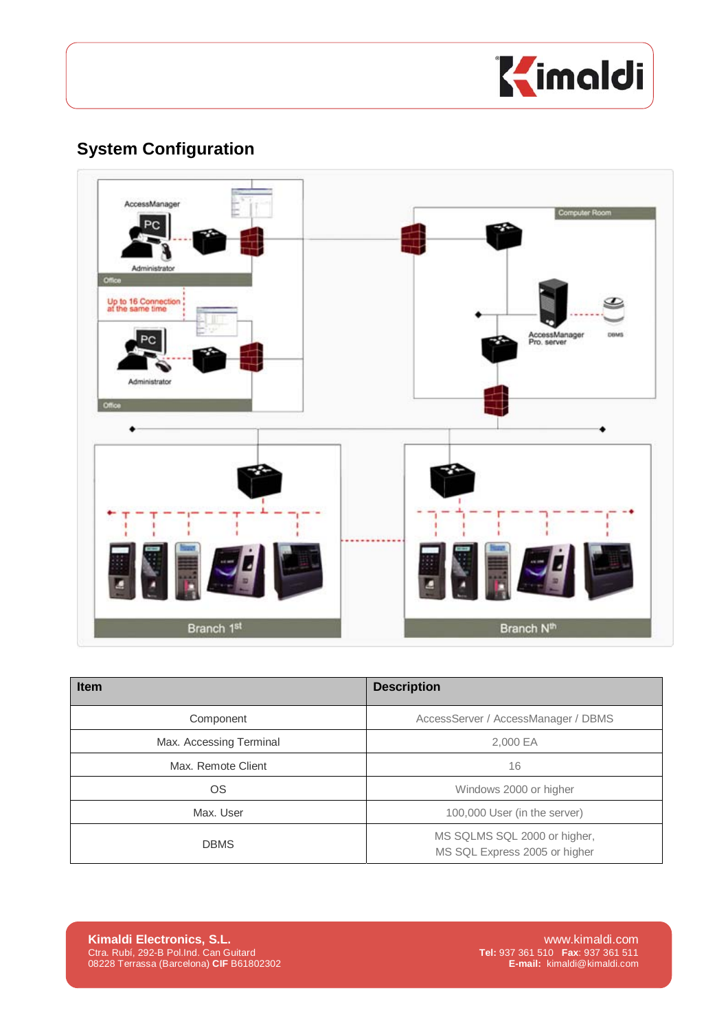

## **System Configuration**



| <b>Item</b>             | <b>Description</b>                                            |  |
|-------------------------|---------------------------------------------------------------|--|
| Component               | AccessServer / AccessManager / DBMS                           |  |
| Max. Accessing Terminal | 2,000 EA                                                      |  |
| Max. Remote Client      | 16                                                            |  |
| OS                      | Windows 2000 or higher                                        |  |
| Max. User               | 100,000 User (in the server)                                  |  |
| <b>DBMS</b>             | MS SQLMS SQL 2000 or higher,<br>MS SQL Express 2005 or higher |  |

**Kimaldi Electronics, S.L.** www.kimaldi.com<br>Ctra. Rubí, 292-B Pol.Ind. Can Guitard **Electronics, S.C. Electronics** Com Ctra. Rubí, 292-B Pol.Ind. Can Guitard<br>08228 Terrassa (Barcelona) CIF B61802302 **E-mail: kimaldi@kimald** Ctra. Rubí, 292-B Pol.Ind. Can Guitard **Tel:** 937 361 510 **Fax**: 937 361 511 08228 Terrassa (Barcelona) **CIF** B61802302 **E-mail:** kimaldi@kimaldi.com